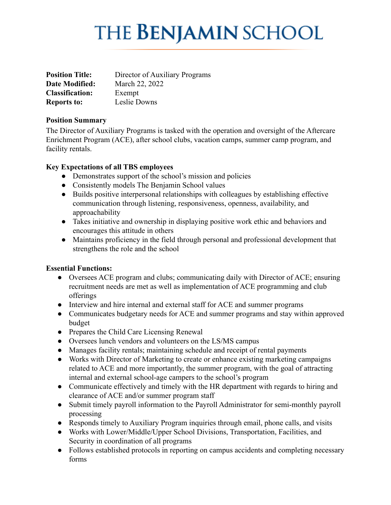# **THE BENJAMIN SCHOOL**

| <b>Position Title:</b> | Director of Auxiliary Programs |
|------------------------|--------------------------------|
| Date Modified:         | March 22, 2022                 |
| <b>Classification:</b> | Exempt                         |
| <b>Reports to:</b>     | Leslie Downs                   |

### **Position Summary**

The Director of Auxiliary Programs is tasked with the operation and oversight of the Aftercare Enrichment Program (ACE), after school clubs, vacation camps, summer camp program, and facility rentals.

## **Key Expectations of all TBS employees**

- Demonstrates support of the school's mission and policies
- Consistently models The Benjamin School values
- **●** Builds positive interpersonal relationships with colleagues by establishing effective communication through listening, responsiveness, openness, availability, and approachability
- Takes initiative and ownership in displaying positive work ethic and behaviors and encourages this attitude in others
- **●** Maintains proficiency in the field through personal and professional development that strengthens the role and the school

## **Essential Functions:**

- Oversees ACE program and clubs; communicating daily with Director of ACE; ensuring recruitment needs are met as well as implementation of ACE programming and club offerings
- Interview and hire internal and external staff for ACE and summer programs
- Communicates budgetary needs for ACE and summer programs and stay within approved budget
- Prepares the Child Care Licensing Renewal
- Oversees lunch vendors and volunteers on the LS/MS campus
- Manages facility rentals; maintaining schedule and receipt of rental payments
- Works with Director of Marketing to create or enhance existing marketing campaigns related to ACE and more importantly, the summer program, with the goal of attracting internal and external school-age campers to the school's program
- Communicate effectively and timely with the HR department with regards to hiring and clearance of ACE and/or summer program staff
- Submit timely payroll information to the Payroll Administrator for semi-monthly payroll processing
- Responds timely to Auxiliary Program inquiries through email, phone calls, and visits
- Works with Lower/Middle/Upper School Divisions, Transportation, Facilities, and Security in coordination of all programs
- Follows established protocols in reporting on campus accidents and completing necessary forms